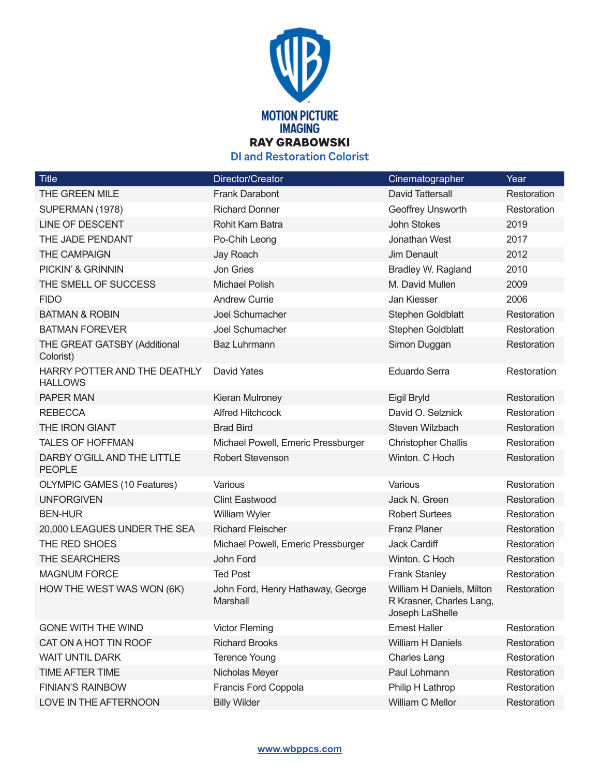

**DI and Restoration Colorist**

| <b>Title</b>                                   | Director/Creator                              | Cinematographer                                                          | Year        |
|------------------------------------------------|-----------------------------------------------|--------------------------------------------------------------------------|-------------|
| THE GREEN MILE                                 | <b>Frank Darabont</b>                         | <b>David Tattersall</b>                                                  | Restoration |
| SUPERMAN (1978)                                | <b>Richard Donner</b>                         | Geoffrey Unsworth                                                        | Restoration |
| LINE OF DESCENT                                | Rohit Karn Batra                              | <b>John Stokes</b>                                                       | 2019        |
| THE JADE PENDANT                               | Po-Chih Leong                                 | Jonathan West                                                            | 2017        |
| <b>THE CAMPAIGN</b>                            | Jay Roach                                     | <b>Jim Denault</b>                                                       | 2012        |
| PICKIN' & GRINNIN                              | Jon Gries                                     | Bradley W. Ragland                                                       | 2010        |
| THE SMELL OF SUCCESS                           | <b>Michael Polish</b>                         | M. David Mullen                                                          | 2009        |
| <b>FIDO</b>                                    | <b>Andrew Currie</b>                          | Jan Kiesser                                                              | 2006        |
| <b>BATMAN &amp; ROBIN</b>                      | Joel Schumacher                               | Stephen Goldblatt                                                        | Restoration |
| <b>BATMAN FOREVER</b>                          | Joel Schumacher                               | Stephen Goldblatt                                                        | Restoration |
| THE GREAT GATSBY (Additional<br>Colorist)      | <b>Baz Luhrmann</b>                           | Simon Duggan                                                             | Restoration |
| HARRY POTTER AND THE DEATHLY<br><b>HALLOWS</b> | <b>David Yates</b>                            | <b>Eduardo Serra</b>                                                     | Restoration |
| <b>PAPER MAN</b>                               | Kieran Mulroney                               | Eigil Bryld                                                              | Restoration |
| <b>REBECCA</b>                                 | <b>Alfred Hitchcock</b>                       | David O. Selznick                                                        | Restoration |
| THE IRON GIANT                                 | <b>Brad Bird</b>                              | Steven Wilzbach                                                          | Restoration |
| <b>TALES OF HOFFMAN</b>                        | Michael Powell, Emeric Pressburger            | <b>Christopher Challis</b>                                               | Restoration |
| DARBY O'GILL AND THE LITTLE<br><b>PEOPLE</b>   | <b>Robert Stevenson</b>                       | Winton. C Hoch                                                           | Restoration |
| <b>OLYMPIC GAMES (10 Features)</b>             | Various                                       | Various                                                                  | Restoration |
| <b>UNFORGIVEN</b>                              | <b>Clint Eastwood</b>                         | Jack N. Green                                                            | Restoration |
| <b>BEN-HUR</b>                                 | William Wyler                                 | <b>Robert Surtees</b>                                                    | Restoration |
| 20,000 LEAGUES UNDER THE SEA                   | <b>Richard Fleischer</b>                      | <b>Franz Planer</b>                                                      | Restoration |
| THE RED SHOES                                  | Michael Powell, Emeric Pressburger            | Jack Cardiff                                                             | Restoration |
| THE SEARCHERS                                  | John Ford                                     | Winton. C Hoch                                                           | Restoration |
| <b>MAGNUM FORCE</b>                            | <b>Ted Post</b>                               | <b>Frank Stanley</b>                                                     | Restoration |
| HOW THE WEST WAS WON (6K)                      | John Ford, Henry Hathaway, George<br>Marshall | William H Daniels, Milton<br>R Krasner, Charles Lang,<br>Joseph LaShelle | Restoration |
| <b>GONE WITH THE WIND</b>                      | <b>Victor Fleming</b>                         | <b>Ernest Haller</b>                                                     | Restoration |
| CAT ON A HOT TIN ROOF                          | <b>Richard Brooks</b>                         | William H Daniels                                                        | Restoration |
| <b>WAIT UNTIL DARK</b>                         | <b>Terence Young</b>                          | <b>Charles Lang</b>                                                      | Restoration |
| TIME AFTER TIME                                | Nicholas Meyer                                | Paul Lohmann                                                             | Restoration |
| <b>FINIAN'S RAINBOW</b>                        | Francis Ford Coppola                          | Philip H Lathrop                                                         | Restoration |
| LOVE IN THE AFTERNOON                          | <b>Billy Wilder</b>                           | William C Mellor                                                         | Restoration |